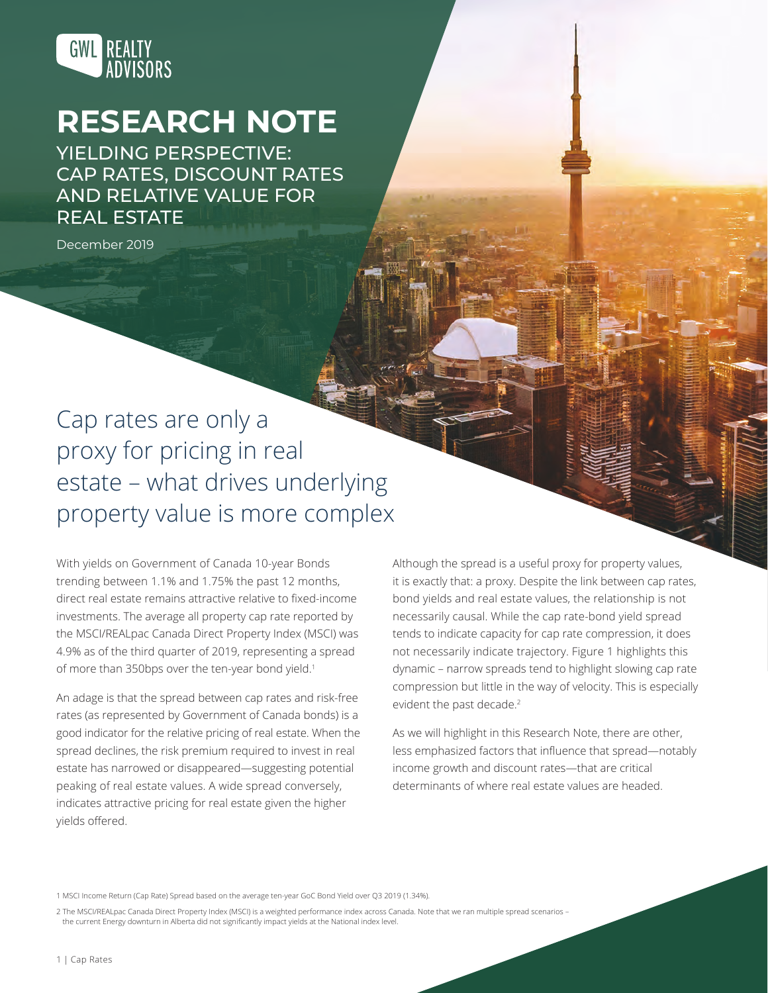

# **RESEARCH NOTE**

YIELDING PERSPECTIVE: CAP RATES, DISCOUNT RATES AND RELATIVE VALUE FOR REAL ESTATE

December 2019

## Cap rates are only a proxy for pricing in real estate – what drives underlying property value is more complex

With yields on Government of Canada 10-year Bonds trending between 1.1% and 1.75% the past 12 months, direct real estate remains attractive relative to fixed-income investments. The average all property cap rate reported by the MSCI/REALpac Canada Direct Property Index (MSCI) was 4.9% as of the third quarter of 2019, representing a spread of more than 350bps over the ten-year bond yield.<sup>1</sup>

An adage is that the spread between cap rates and risk-free rates (as represented by Government of Canada bonds) is a good indicator for the relative pricing of real estate. When the spread declines, the risk premium required to invest in real estate has narrowed or disappeared—suggesting potential peaking of real estate values. A wide spread conversely, indicates attractive pricing for real estate given the higher yields offered.

Although the spread is a useful proxy for property values, it is exactly that: a proxy. Despite the link between cap rates, bond yields and real estate values, the relationship is not necessarily causal. While the cap rate-bond yield spread tends to indicate capacity for cap rate compression, it does not necessarily indicate trajectory. Figure 1 highlights this dynamic – narrow spreads tend to highlight slowing cap rate compression but little in the way of velocity. This is especially evident the past decade.<sup>2</sup>

As we will highlight in this Research Note, there are other, less emphasized factors that influence that spread—notably income growth and discount rates—that are critical determinants of where real estate values are headed.

1 MSCI Income Return (Cap Rate) Spread based on the average ten-year GoC Bond Yield over Q3 2019 (1.34%).

2 The MSCI/REALpac Canada Direct Property Index (MSCI) is a weighted performance index across Canada. Note that we ran multiple spread scenarios – the current Energy downturn in Alberta did not significantly impact yields at the National index level.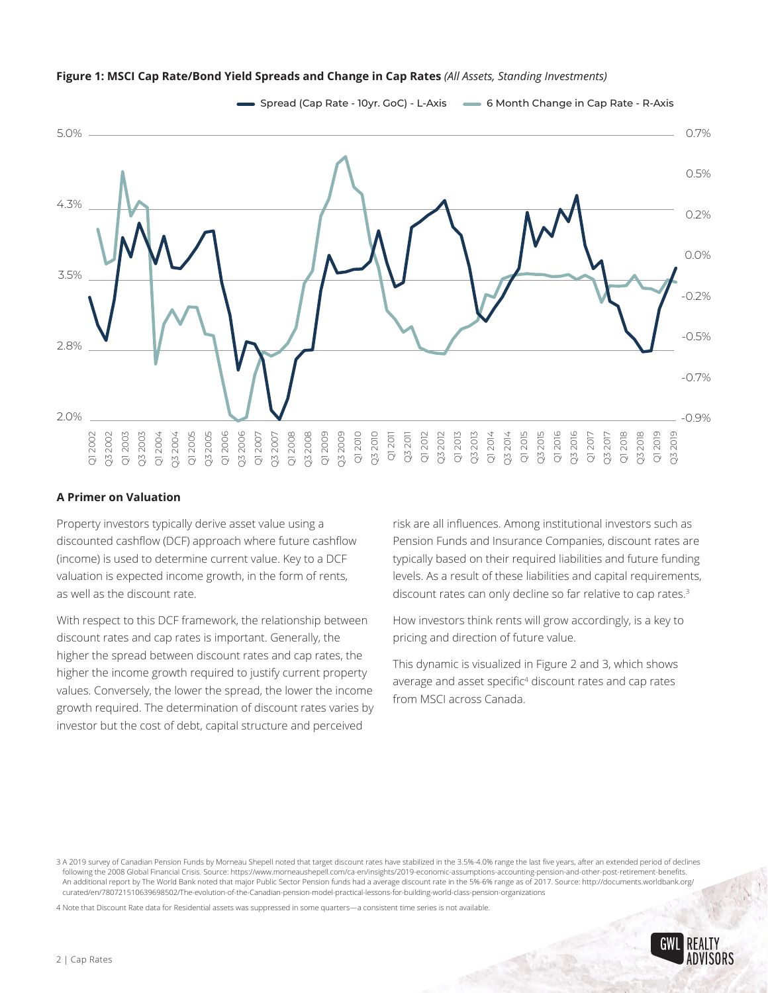

#### **Figure 1: MSCI Cap Rate/Bond Yield Spreads and Change in Cap Rates** *(All Assets, Standing Investments)*

#### **A Primer on Valuation**

Property investors typically derive asset value using a discounted cashflow (DCF) approach where future cashflow (income) is used to determine current value. Key to a DCF valuation is expected income growth, in the form of rents, as well as the discount rate.

With respect to this DCF framework, the relationship between discount rates and cap rates is important. Generally, the higher the spread between discount rates and cap rates, the higher the income growth required to justify current property values. Conversely, the lower the spread, the lower the income growth required. The determination of discount rates varies by investor but the cost of debt, capital structure and perceived **A Primer c**<br>
Property in<br>
discounted<br>
(income) is<br>
valuation is<br>
valuation is<br>
as well as tl<br>
With respeed<br>
discount ra<br>
higher the is<br>
values. Con<br>
growth req<br>
investor bu<br>
sa a 2019 survey<br>
following the 21<br>
An additio

risk are all influences. Among institutional investors such as Pension Funds and Insurance Companies, discount rates are typically based on their required liabilities and future funding levels. As a result of these liabilities and capital requirements, discount rates can only decline so far relative to cap rates.<sup>3</sup>

How investors think rents will grow accordingly, is a key to pricing and direction of future value.

This dynamic is visualized in Figure 2 and 3, which shows average and asset specific<sup>4</sup> discount rates and cap rates from MSCI across Canada.

4 Note that Discount Rate data for Residential assets was suppressed in some quarters—a consistent time series is not available.



<sup>3</sup> A 2019 survey of Canadian Pension Funds by Morneau Shepell noted that target discount rates have stabilized in the 3.5%-4.0% range the last five years, after an extended period of declines following the 2008 Global Financial Crisis. Source: https://www.morneaushepell.com/ca-en/insights/2019-economic-assumptions-accounting-pension-and-other-post-retirement-benefits. An additional report by The World Bank noted that major Public Sector Pension funds had a average discount rate in the 5%-6% range as of 2017. Source: http://documents.worldbank.org/ curated/en/780721510639698502/The-evolution-of-the-Canadian-pension-model-practical-lessons-for-building-world-class-pension-organizations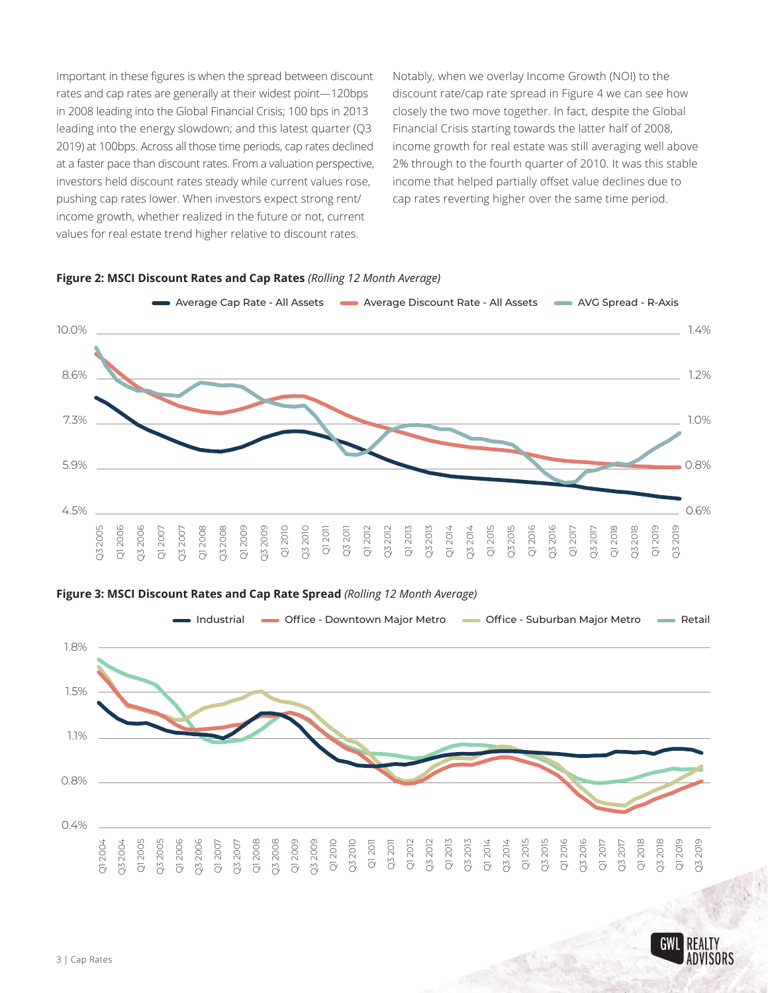Important in these figures is when the spread between discount rates and cap rates are generally at their widest point—120bps in 2008 leading into the Global Financial Crisis; 100 bps in 2013 leading into the energy slowdown; and this latest quarter (Q3 2019) at 100bps. Across all those time periods, cap rates declined at a faster pace than discount rates. From a valuation perspective, investors held discount rates steady while current values rose, pushing cap rates lower. When investors expect strong rent/ income growth, whether realized in the future or not, current values for real estate trend higher relative to discount rates.

Notably, when we overlay Income Growth (NOI) to the discount rate/cap rate spread in Figure 4 we can see how closely the two move together. In fact, despite the Global Financial Crisis starting towards the latter half of 2008, income growth for real estate was still averaging well above 2% through to the fourth quarter of 2010. It was this stable income that helped partially offset value declines due to cap rates reverting higher over the same time period.



#### **Figure 2: MSCI Discount Rates and Cap Rates** *(Rolling 12 Month Average)*

#### **Figure 3: MSCI Discount Rates and Cap Rate Spread** *(Rolling 12 Month Average)*